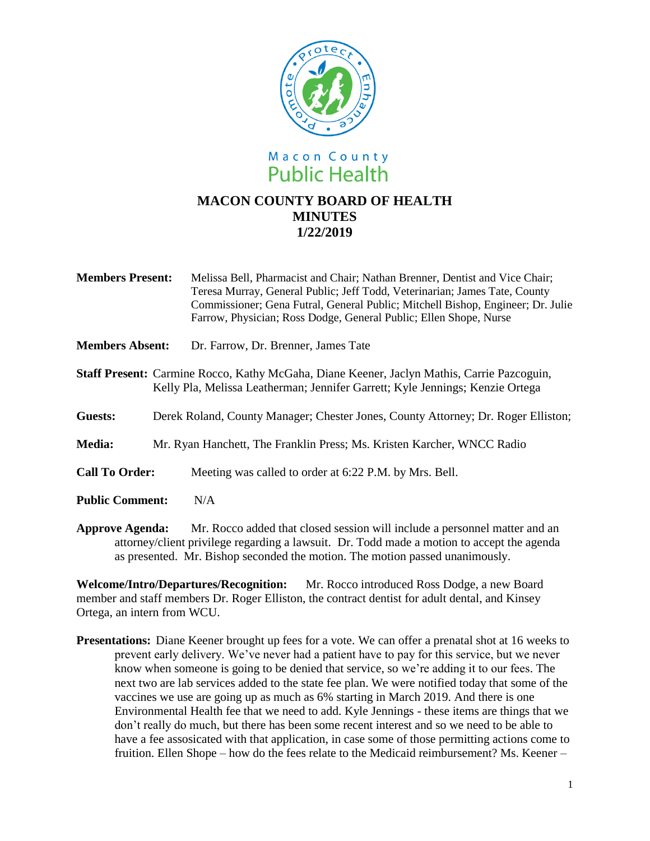

- **Members Present:** Melissa Bell, Pharmacist and Chair; Nathan Brenner, Dentist and Vice Chair; Teresa Murray, General Public; Jeff Todd, Veterinarian; James Tate, County Commissioner; Gena Futral, General Public; Mitchell Bishop, Engineer; Dr. Julie Farrow, Physician; Ross Dodge, General Public; Ellen Shope, Nurse
- **Members Absent:** Dr. Farrow, Dr. Brenner, James Tate
- **Staff Present:** Carmine Rocco, Kathy McGaha, Diane Keener, Jaclyn Mathis, Carrie Pazcoguin, Kelly Pla, Melissa Leatherman; Jennifer Garrett; Kyle Jennings; Kenzie Ortega
- **Guests:** Derek Roland, County Manager; Chester Jones, County Attorney; Dr. Roger Elliston;
- **Media:** Mr. Ryan Hanchett, The Franklin Press; Ms. Kristen Karcher, WNCC Radio
- **Call To Order:** Meeting was called to order at 6:22 P.M. by Mrs. Bell.
- **Public Comment:** N/A

**Approve Agenda:** Mr. Rocco added that closed session will include a personnel matter and an attorney/client privilege regarding a lawsuit. Dr. Todd made a motion to accept the agenda as presented. Mr. Bishop seconded the motion. The motion passed unanimously.

**Welcome/Intro/Departures/Recognition:** Mr. Rocco introduced Ross Dodge, a new Board member and staff members Dr. Roger Elliston, the contract dentist for adult dental, and Kinsey Ortega, an intern from WCU.

**Presentations:** Diane Keener brought up fees for a vote. We can offer a prenatal shot at 16 weeks to prevent early delivery. We've never had a patient have to pay for this service, but we never know when someone is going to be denied that service, so we're adding it to our fees. The next two are lab services added to the state fee plan. We were notified today that some of the vaccines we use are going up as much as 6% starting in March 2019. And there is one Environmental Health fee that we need to add. Kyle Jennings - these items are things that we don't really do much, but there has been some recent interest and so we need to be able to have a fee assosicated with that application, in case some of those permitting actions come to fruition. Ellen Shope – how do the fees relate to the Medicaid reimbursement? Ms. Keener –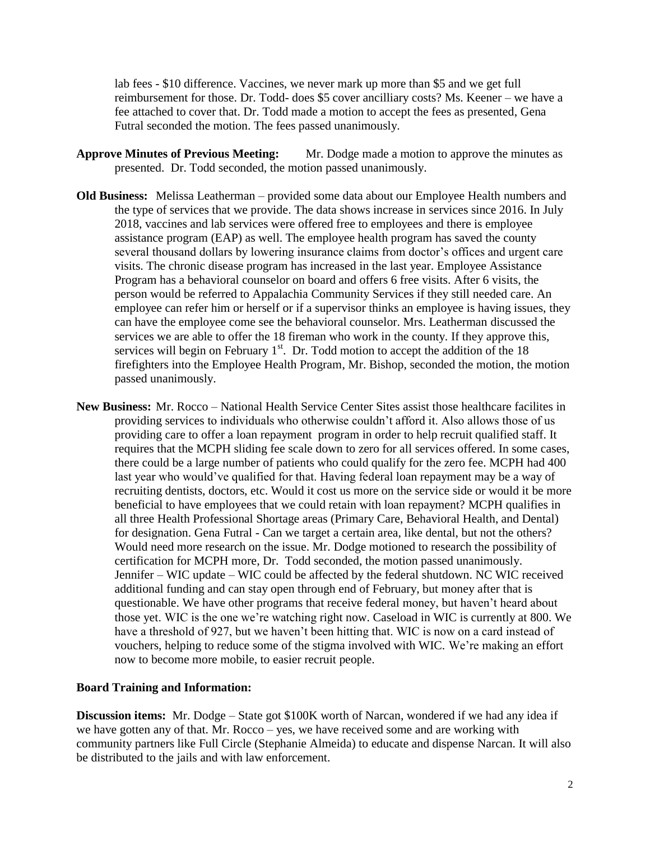lab fees - \$10 difference. Vaccines, we never mark up more than \$5 and we get full reimbursement for those. Dr. Todd- does \$5 cover ancilliary costs? Ms. Keener – we have a fee attached to cover that. Dr. Todd made a motion to accept the fees as presented, Gena Futral seconded the motion. The fees passed unanimously.

- **Approve Minutes of Previous Meeting:** Mr. Dodge made a motion to approve the minutes as presented. Dr. Todd seconded, the motion passed unanimously.
- **Old Business:** Melissa Leatherman provided some data about our Employee Health numbers and the type of services that we provide. The data shows increase in services since 2016. In July 2018, vaccines and lab services were offered free to employees and there is employee assistance program (EAP) as well. The employee health program has saved the county several thousand dollars by lowering insurance claims from doctor's offices and urgent care visits. The chronic disease program has increased in the last year. Employee Assistance Program has a behavioral counselor on board and offers 6 free visits. After 6 visits, the person would be referred to Appalachia Community Services if they still needed care. An employee can refer him or herself or if a supervisor thinks an employee is having issues, they can have the employee come see the behavioral counselor. Mrs. Leatherman discussed the services we are able to offer the 18 fireman who work in the county. If they approve this, services will begin on February  $1<sup>st</sup>$ . Dr. Todd motion to accept the addition of the 18 firefighters into the Employee Health Program, Mr. Bishop, seconded the motion, the motion passed unanimously.
- **New Business:** Mr. Rocco National Health Service Center Sites assist those healthcare facilites in providing services to individuals who otherwise couldn't afford it. Also allows those of us providing care to offer a loan repayment program in order to help recruit qualified staff. It requires that the MCPH sliding fee scale down to zero for all services offered. In some cases, there could be a large number of patients who could qualify for the zero fee. MCPH had 400 last year who would've qualified for that. Having federal loan repayment may be a way of recruiting dentists, doctors, etc. Would it cost us more on the service side or would it be more beneficial to have employees that we could retain with loan repayment? MCPH qualifies in all three Health Professional Shortage areas (Primary Care, Behavioral Health, and Dental) for designation. Gena Futral - Can we target a certain area, like dental, but not the others? Would need more research on the issue. Mr. Dodge motioned to research the possibility of certification for MCPH more, Dr. Todd seconded, the motion passed unanimously. Jennifer – WIC update – WIC could be affected by the federal shutdown. NC WIC received additional funding and can stay open through end of February, but money after that is questionable. We have other programs that receive federal money, but haven't heard about those yet. WIC is the one we're watching right now. Caseload in WIC is currently at 800. We have a threshold of 927, but we haven't been hitting that. WIC is now on a card instead of vouchers, helping to reduce some of the stigma involved with WIC. We're making an effort now to become more mobile, to easier recruit people.

## **Board Training and Information:**

**Discussion items:** Mr. Dodge – State got \$100K worth of Narcan, wondered if we had any idea if we have gotten any of that. Mr. Rocco – yes, we have received some and are working with community partners like Full Circle (Stephanie Almeida) to educate and dispense Narcan. It will also be distributed to the jails and with law enforcement.